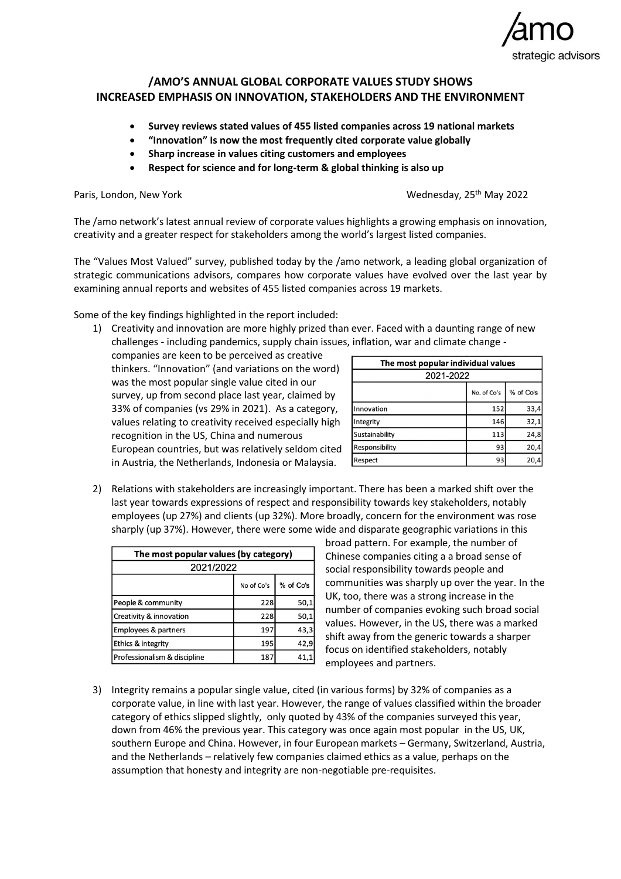

## **/AMO'S ANNUAL GLOBAL CORPORATE VALUES STUDY SHOWS INCREASED EMPHASIS ON INNOVATION, STAKEHOLDERS AND THE ENVIRONMENT**

- **Survey reviews stated values of 455 listed companies across 19 national markets**
- **"Innovation" Is now the most frequently cited corporate value globally**
- **Sharp increase in values citing customers and employees**
- **Respect for science and for long-term & global thinking is also up**

Paris, London, New York

Wednesday, 25<sup>th</sup> May 2022

The /amo network's latest annual review of corporate values highlights a growing emphasis on innovation, creativity and a greater respect for stakeholders among the world's largest listed companies.

The "Values Most Valued" survey, published today by the /amo network, a leading global organization of strategic communications advisors, compares how corporate values have evolved over the last year by examining annual reports and websites of 455 listed companies across 19 markets.

Some of the key findings highlighted in the report included:

1) Creativity and innovation are more highly prized than ever. Faced with a daunting range of new challenges - including pandemics, supply chain issues, inflation, war and climate change -

companies are keen to be perceived as creative thinkers. "Innovation" (and variations on the word) was the most popular single value cited in our survey, up from second place last year, claimed by 33% of companies (vs 29% in 2021). As a category, values relating to creativity received especially high recognition in the US, China and numerous European countries, but was relatively seldom cited in Austria, the Netherlands, Indonesia or Malaysia.

| The most popular individual values |             |           |  |
|------------------------------------|-------------|-----------|--|
| 2021-2022                          |             |           |  |
|                                    | No. of Co's | % of Co's |  |
| Innovation                         | 152         | 33,4      |  |
| Integrity                          | 146         | 32,1      |  |
| Sustainability                     | 113         | 24,8      |  |
| Responsibility                     | 93          | 20,4      |  |
| Respect                            | 93          | 20,4      |  |

2) Relations with stakeholders are increasingly important. There has been a marked shift over the last year towards expressions of respect and responsibility towards key stakeholders, notably employees (up 27%) and clients (up 32%). More broadly, concern for the environment was rose sharply (up 37%). However, there were some wide and disparate geographic variations in this

| The most popular values (by category) |            |           |  |
|---------------------------------------|------------|-----------|--|
| 2021/2022                             |            |           |  |
|                                       | No of Co's | % of Co's |  |
| People & community                    | 228        | 50,1      |  |
| Creativity & innovation               | 228        | 50,1      |  |
| Employees & partners                  | 197        | 43,3      |  |
| Ethics & integrity                    | 195        | 42,9      |  |
| Professionalism & discipline          | 187        |           |  |

broad pattern. For example, the number of Chinese companies citing a a broad sense of social responsibility towards people and communities was sharply up over the year. In the UK, too, there was a strong increase in the number of companies evoking such broad social values. However, in the US, there was a marked shift away from the generic towards a sharper focus on identified stakeholders, notably employees and partners.

3) Integrity remains a popular single value, cited (in various forms) by 32% of companies as a corporate value, in line with last year. However, the range of values classified within the broader category of ethics slipped slightly, only quoted by 43% of the companies surveyed this year, down from 46% the previous year. This category was once again most popular in the US, UK, southern Europe and China. However, in four European markets – Germany, Switzerland, Austria, and the Netherlands – relatively few companies claimed ethics as a value, perhaps on the assumption that honesty and integrity are non-negotiable pre-requisites.